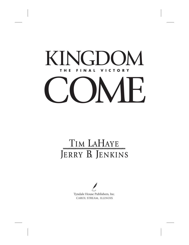# KINGDOM **VICTORY** COME

## TIM LAHAYE JERRY B. JENKINS

Tyndale House Publishers, Inc. CAROL STREAM, ILLINOIS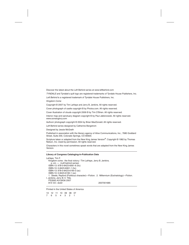Discover the latest about the Left Behind series at www.leftbehind.com

TYNDALE and Tyndale's quill logo are registered trademarks of Tyndale House Publishers, Inc.

Left Behind is a registered trademark of Tyndale House Publishers, Inc.

Kingdom Come

Copyright © 2007 by Tim LaHaye and Jerry B. Jenkins. All rights reserved.

Cover photograph of castle copyright © by Photos.com. All rights reserved.

Cover illustration of clouds copyright 2006 © by Tim O'Brien. All rights reserved.

Interior map and sanctuary diagram copyright © by Paul Jablonowski. All rights reserved. www.sonstoglory.com

Authors' photograph copyright © 2004 by Brian MacDonald. All rights reserved.

Left Behind series designed by Catherine Bergstrom

Designed by Jessie McGrath

Published in association with the literary agency of Alive Communications, Inc., 7680 Goddard Street, Suite 200, Colorado Springs, CO 80920.

Scripture taken or adapted from the New King James Version<sup>®</sup>. Copyright © 1982 by Thomas Nelson, Inc. Used by permission. All rights reserved.

Characters in this novel sometimes speak words that are adapted from the New King James Version.

#### **Library of Congress Cataloging-in-Publication Data**

LaHaye, Tim F. Kingdom come : the final victory / Tim LaHaye, Jerry B. Jenkins. p. cm. — (Left behind series) ISBN-13: 978-0-8423-6061-6 (hc) ISBN-10: 0-8423-6061-1 (hc) ISBN-13: 978-0-8423-6190-3 (sc) ISBN-10: 0-8423-6190-1 (sc) 1. Steele, Rayford (Fictitious character)—Fiction. 2. Millennium (Eschatology)—Fiction. I. Jenkins, Jerry B. II. Title. PS3562.A315K56 2007 813′.54—dc22 2007001685

Printed in the United States of America

13 12 11 10 09 08 07 7654321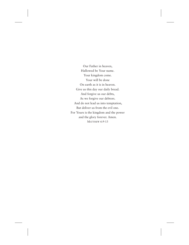Our Father in heaven, Hallowed be Your name. Your kingdom come. Your will be done On earth as it is in heaven. Give us this day our daily bread. And forgive us our debts, As we forgive our debtors. And do not lead us into temptation, But deliver us from the evil one. For Yours is the kingdom and the power and the glory forever. Amen. MATTHEW 6:9-13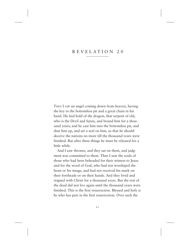THEN I SAW an angel coming down from heaven, having the key to the bottomless pit and a great chain in his hand. He laid hold of the dragon, that serpent of old, who is the Devil and Satan, and bound him for a thousand years; and he cast him into the bottomless pit, and shut him up, and set a seal on him, so that he should deceive the nations no more till the thousand years were finished. But after these things he must be released for a little while.

And I saw thrones, and they sat on them, and judgment was committed to them. Then I saw the souls of those who had been beheaded for their witness to Jesus and for the word of God, who had not worshiped the beast or his image, and had not received his mark on their foreheads or on their hands. And they lived and reigned with Christ for a thousand years. But the rest of the dead did not live again until the thousand years were finished. This is the first resurrection. Blessed and holy is he who has part in the first resurrection. Over such the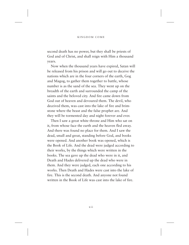second death has no power, but they shall be priests of God and of Christ, and shall reign with Him a thousand years.

Now when the thousand years have expired, Satan will be released from his prison and will go out to deceive the nations which are in the four corners of the earth, Gog and Magog, to gather them together to battle, whose number is as the sand of the sea. They went up on the breadth of the earth and surrounded the camp of the saints and the beloved city. And fire came down from God out of heaven and devoured them. The devil, who deceived them, was cast into the lake of fire and brimstone where the beast and the false prophet are. And they will be tormented day and night forever and ever.

Then I saw a great white throne and Him who sat on it, from whose face the earth and the heaven fled away. And there was found no place for them. And I saw the dead, small and great, standing before God, and books were opened. And another book was opened, which is the Book of Life. And the dead were judged according to their works, by the things which were written in the books. The sea gave up the dead who were in it, and Death and Hades delivered up the dead who were in them. And they were judged, each one according to his works. Then Death and Hades were cast into the lake of fire. This is the second death. And anyone not found written in the Book of Life was cast into the lake of fire.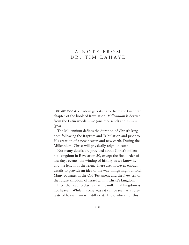### A NOTE FROM DR. TIM LAHAYE

THE MILLENNIAL kingdom gets its name from the twentieth chapter of the book of Revelation. *Millennium* is derived from the Latin words *mille* (one thousand) and *annum* (year).

The Millennium defines the duration of Christ's kingdom following the Rapture and Tribulation and prior to His creation of a new heaven and new earth. During the Millennium, Christ will physically reign on earth.

Not many details are provided about Christ's millennial kingdom in Revelation 20, except the final order of last-days events, the windup of history as we know it, and the length of the reign. There are, however, enough details to provide an idea of the way things might unfold. Many passages in the Old Testament and the New tell of the future kingdom of Israel within Christ's kingdom.

I feel the need to clarify that the millennial kingdom is not heaven. While in some ways it can be seen as a foretaste of heaven, sin will still exist. Those who enter this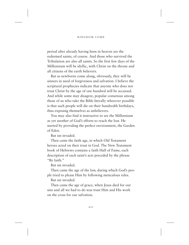period after already having been in heaven are the redeemed saints, of course. And those who survived the Tribulation are also all saints. So the first few days of the Millennium will be idyllic, with Christ on the throne and all citizens of the earth believers.

But as newborns come along, obviously, they will be sinners in need of forgiveness and salvation. I believe the scriptural prophecies indicate that anyone who does not trust Christ by the age of one hundred will be accursed. And while some may disagree, popular consensus among those of us who take the Bible literally wherever possible is that such people will die on their hundredth birthdays, thus exposing themselves as unbelievers.

You may also find it instructive to see the Millennium as yet another of God's efforts to reach the lost. He started by providing the perfect environment, the Garden of Eden.

But sin invaded.

Then came the faith age, in which Old Testament heroes acted on their trust in God. The New Testament book of Hebrews contains a faith Hall of Fame, each description of each saint's acts preceded by the phrase "By faith."

But sin invaded.

Then came the age of the law, during which God's people tried to please Him by following meticulous rules.

But sin invaded.

Then came the age of grace, when Jesus died for our sins and all we had to do was trust Him and His work on the cross for our salvation.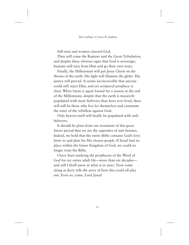Still men and women rejected God.

Then will come the Rapture and the Great Tribulation, and despite these obvious signs that God is sovereign, humans will turn from Him and go their own ways.

Finally, the Millennium will put Jesus Christ on the throne of the earth. His light will illumine the globe. His justice will prevail. It seems inconceivable that anyone could still reject Him, and yet scriptural prophecy is clear. When Satan is again loosed for a season at the end of the Millennium, despite that the earth is massively populated with more believers than have ever lived, there will still be those who live for themselves and constitute the army of the rebellion against God.

Only heaven itself will finally be populated with only believers.

It should be plain from our treatment of this great future period that we are the opposites of anti-Semites. Indeed, we hold that the entire Bible contains God's love letter to and plan for His chosen people. If Israel had no place within the future Kingdom of God, we could no longer trust the Bible.

I have been studying the prophecies of the Word of God for my entire adult life—more than six decades and still I thrill anew at what is in store. Now come along as Jerry tells the story of how this could all play out. Even so, come, Lord Jesus!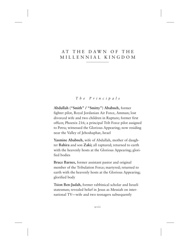### AT THE DAWN OF THE MILLENNIAL KINGDOM

#### *The Principals*

**Abdullah ("Smith" / "Smitty") Ababneh,** former fighter pilot, Royal Jordanian Air Force, Amman; lost divorced wife and two children in Rapture; former first officer, Phoenix 216; a principal Trib Force pilot assigned to Petra; witnessed the Glorious Appearing; now residing near the Valley of Jehoshaphat, Israel

**Yasmine Ababneh,** wife of Abdullah, mother of daughter **Bahira** and son **Zaki;** all raptured; returned to earth with the heavenly hosts at the Glorious Appearing; glorified bodies

**Bruce Barnes,** former assistant pastor and original member of the Tribulation Force; martyred; returned to earth with the heavenly hosts at the Glorious Appearing; glorified body

**Tsion Ben-Judah,** former rabbinical scholar and Israeli statesman; revealed belief in Jesus as Messiah on international TV—wife and two teenagers subsequently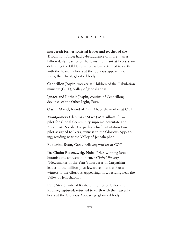murdered; former spiritual leader and teacher of the Tribulation Force; had cyberaudience of more than a billion daily; teacher of the Jewish remnant at Petra; slain defending the Old City in Jerusalem; returned to earth with the heavenly hosts at the glorious appearing of Jesus, the Christ; glorified body

**Cendrillon Jospin,** worker at Children of the Tribulation ministry (COT), Valley of Jehoshaphat

**Ignace** and **Lothair Jospin,** cousins of Cendrillon; devotees of the Other Light, Paris

**Qasim Marid,** friend of Zaki Ababneh; worker at COT

**Montgomery Cleburn ("Mac") McCullum,** former pilot for Global Community supreme potentate and Antichrist, Nicolae Carpathia; chief Tribulation Force pilot assigned to Petra; witness to the Glorious Appearing; residing near the Valley of Jehoshaphat

**Ekaterina Risto,** Greek believer; worker at COT

**Dr. Chaim Rosenzweig,** Nobel Prize–winning Israeli botanist and statesman; former *Global Weekly "*Newsmaker of the Year"; murderer of Carpathia; leader of the million-plus Jewish remnant at Petra; witness to the Glorious Appearing; now residing near the Valley of Jehoshaphat

**Irene Steele,** wife of Rayford; mother of Chloe and Raymie; raptured; returned to earth with the heavenly hosts at the Glorious Appearing; glorified body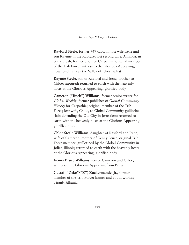**Rayford Steele,** former 747 captain; lost wife Irene and son Raymie in the Rapture; lost second wife, Amanda, in plane crash; former pilot for Carpathia; original member of the Trib Force; witness to the Glorious Appearing; now residing near the Valley of Jehoshaphat

**Raymie Steele,** son of Rayford and Irene; brother to Chloe; raptured; returned to earth with the heavenly hosts at the Glorious Appearing; glorified body

**Cameron ("Buck") Williams,** former senior writer for *Global Weekly*; former publisher of *Global Community Weekly* for Carpathia; original member of the Trib Force; lost wife, Chloe, to Global Community guillotine; slain defending the Old City in Jerusalem; returned to earth with the heavenly hosts at the Glorious Appearing; glorified body

**Chloe Steele Williams,** daughter of Rayford and Irene; wife of Cameron; mother of Kenny Bruce; original Trib Force member; guillotined by the Global Community in Joliet, Illinois; returned to earth with the heavenly hosts at the Glorious Appearing; glorified body

**Kenny Bruce Williams,** son of Cameron and Chloe; witnessed the Glorious Appearing from Petra

**Gustaf ("Zeke"/"Z") Zuckermandel Jr.,** former member of the Trib Force; farmer and youth worker, Tiranë, Albania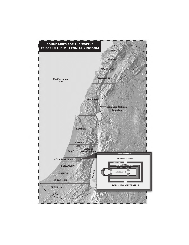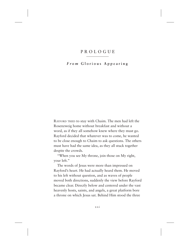#### PROLOGUE

#### *From* **Glorious Appearing**

RAYFORD TRIED to stay with Chaim. The men had left the Rosenzweig home without breakfast and without a word, as if they all somehow knew where they must go. Rayford decided that whatever was to come, he wanted to be close enough to Chaim to ask questions. The others must have had the same idea, as they all stuck together despite the crowds.

"When you see My throne, join those on My right, your left."

The words of Jesus were more than impressed on Rayford's heart. He had actually heard them. He moved to his left without question, and as waves of people moved both directions, suddenly the view before Rayford became clear. Directly below and centered under the vast heavenly hosts, saints, and angels, a great platform bore a throne on which Jesus sat. Behind Him stood the three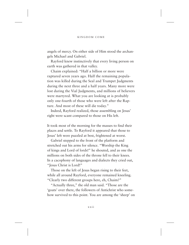angels of mercy. On either side of Him stood the archangels Michael and Gabriel.

Rayford knew instinctively that every living person on earth was gathered in that valley.

Chaim explained: "Half a billion or more were raptured seven years ago. Half the remaining population was killed during the Seal and Trumpet Judgments during the next three and a half years. Many more were lost during the Vial Judgments, and millions of believers were martyred. What you are looking at is probably only one-fourth of those who were left after the Rapture. And most of these will die today."

Indeed, Rayford realized, those assembling on Jesus' right were scant compared to those on His left.

It took most of the morning for the masses to find their places and settle. To Rayford it appeared that those to Jesus' left were puzzled at best, frightened at worst.

Gabriel stepped to the front of the platform and stretched out his arms for silence. "Worship the King of kings and Lord of lords!" he shouted, and as one the millions on both sides of the throne fell to their knees. In a cacophony of languages and dialects they cried out, "Jesus Christ is Lord!"

Those on the left of Jesus began rising to their feet, while all around Rayford, everyone remained kneeling. "Clearly two different groups here, eh, Chaim?"

"Actually three," the old man said. "Those are the 'goats' over there, the followers of Antichrist who somehow survived to this point. You are among the 'sheep' on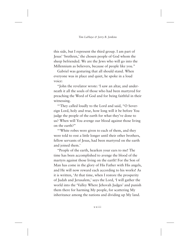this side, but I represent the third group. I am part of Jesus' 'brethren,' the chosen people of God whom the sheep befriended. We are the Jews who will go into the Millennium as believers, because of people like you."

Gabriel was gesturing that all should stand. When everyone was in place and quiet, he spoke in a loud voice:

"John the revelator wrote: 'I saw an altar, and underneath it all the souls of those who had been martyred for preaching the Word of God and for being faithful in their witnessing.

"'They called loudly to the Lord and said, "O Sovereign Lord, holy and true, how long will it be before You judge the people of the earth for what they've done to us? When will You avenge our blood against those living on the earth?"

"'White robes were given to each of them, and they were told to rest a little longer until their other brothers, fellow servants of Jesus, had been martyred on the earth and joined them.'

"People of the earth, hearken your ears to me! The time has been accomplished to avenge the blood of the martyrs against those living on the earth! For the Son of Man has come in the glory of His Father with His angels, and He will now reward each according to his works! As it is written, 'At that time, when I restore the prosperity of Judah and Jerusalem,' says the Lord, 'I will gather the world into the 'Valley Where Jehovah Judges' and punish them there for harming My people, for scattering My inheritance among the nations and dividing up My land.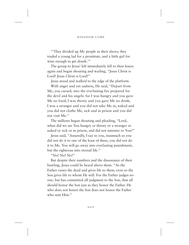"'They divided up My people as their slaves; they traded a young lad for a prostitute, and a little girl for wine enough to get drunk.'"

The group to Jesus' left immediately fell to their knees again and began shouting and wailing, "Jesus Christ is Lord! Jesus Christ is Lord!"

Jesus stood and walked to the edge of the platform.

With anger and yet sadness, He said, "Depart from Me, you cursed, into the everlasting fire prepared for the devil and his angels: for I was hungry and you gave Me no food; I was thirsty and you gave Me no drink; I was a stranger and you did not take Me in, naked and you did not clothe Me, sick and in prison and you did not visit Me."

The millions began shouting and pleading, "Lord, when did we see You hungry or thirsty or a stranger or naked or sick or in prison, and did not minister to You?"

Jesus said, "Assuredly, I say to you, inasmuch as you did not do it to one of the least of these, you did not do it to Me. You will go away into everlasting punishment, but the righteous into eternal life."

"No! No! No!"

But despite their numbers and the dissonance of their bawling, Jesus could be heard above them. "As the Father raises the dead and gives life to them, even so the Son gives life to whom He will. For the Father judges no one, but has committed all judgment to the Son, that all should honor the Son just as they honor the Father. He who does not honor the Son does not honor the Father who sent Him."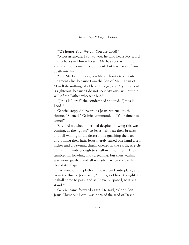"We honor You! We do! You are Lord!"

"Most assuredly, I say to you, he who hears My word and believes in Him who sent Me has everlasting life, and shall not come into judgment, but has passed from death into life.

"But My Father has given Me authority to execute judgment also, because I am the Son of Man. I can of Myself do nothing. As I hear, I judge; and My judgment is righteous, because I do not seek My own will but the will of the Father who sent Me."

"Jesus is Lord!" the condemned shouted. "Jesus is Lord!"

Gabriel stepped forward as Jesus returned to the throne. "Silence!" Gabriel commanded. "Your time has come!"

Rayford watched, horrified despite knowing this was coming, as the "goats" to Jesus' left beat their breasts and fell wailing to the desert floor, gnashing their teeth and pulling their hair. Jesus merely raised one hand a few inches and a yawning chasm opened in the earth, stretching far and wide enough to swallow all of them. They tumbled in, howling and screeching, but their wailing was soon quashed and all was silent when the earth closed itself again.

Everyone on the platform moved back into place, and from the throne Jesus said, "Surely, as I have thought, so it shall come to pass, and as I have purposed, so it shall stand."

Gabriel came forward again. He said, "God's Son, Jesus Christ our Lord, was born of the seed of David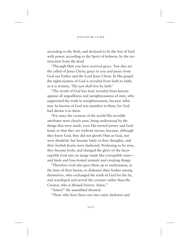according to the flesh, and declared to be the Son of God with power according to the Spirit of holiness, by the resurrection from the dead.

"Through Him you have received grace. You also are the called of Jesus Christ; grace to you and peace from God our Father and the Lord Jesus Christ. In His gospel the righteousness of God is revealed from faith to faith; as it is written, 'The just shall live by faith.'

"The wrath of God has been revealed from heaven against all ungodliness and unrighteousness of men, who suppressed the truth in unrighteousness, because what may be known of God was manifest in them, for God had shown it to them.

"For since the creation of the world His invisible attributes were clearly seen, being understood by the things that were made, even His eternal power and Godhead, so that they are without excuse, because, although they knew God, they did not glorify Him as God, nor were thankful, but became futile in their thoughts, and their foolish hearts were darkened. Professing to be wise, they became fools, and changed the glory of the incorruptible God into an image made like corruptible man and birds and four-footed animals and creeping things.

"Therefore God also gave them up to uncleanness, in the lusts of their hearts, to dishonor their bodies among themselves, who exchanged the truth of God for the lie, and worshiped and served the creature rather than the Creator, who is blessed forever. Amen."

"Amen!" the assembled shouted.

"These who have been cast into outer darkness and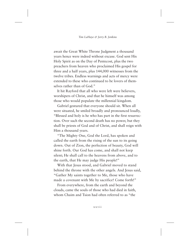await the Great White Throne Judgment a thousand years hence were indeed without excuse. God sent His Holy Spirit as on the Day of Pentecost, plus the two preachers from heaven who proclaimed His gospel for three and a half years, plus 144,000 witnesses from the twelve tribes. Endless warnings and acts of mercy were extended to these who continued to be lovers of themselves rather than of God."

It hit Rayford that all who were left were believers, worshipers of Christ, and that he himself was among those who would populate the millennial kingdom.

Gabriel gestured that everyone should sit. When all were situated, he smiled broadly and pronounced loudly, "Blessed and holy is he who has part in the first resurrection. Over such the second death has no power, but they shall be priests of God and of Christ, and shall reign with Him a thousand years.

"The Mighty One, God the Lord, has spoken and called the earth from the rising of the sun to its going down. Out of Zion, the perfection of beauty, God will shine forth. Our God has come, and shall not keep silent; He shall call to the heavens from above, and to the earth, that He may judge His people!"

With that Jesus stood, and Gabriel moved to stand behind the throne with the other angels. And Jesus said, "Gather My saints together to Me, those who have made a covenant with Me by sacrifice! Come forth!"

From everywhere, from the earth and beyond the clouds, came the souls of those who had died in faith, whom Chaim and Tsion had often referred to as "the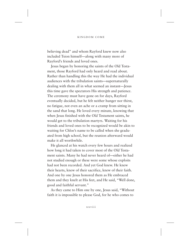believing dead" and whom Rayford knew now also included Tsion himself—along with many more of Rayford's friends and loved ones.

Jesus began by honoring the saints of the Old Testament, those Rayford had only heard and read about. Rather than handling this the way He had the individual audiences with the tribulation saints—supernaturally dealing with them all in what seemed an instant—Jesus this time gave the spectators His strength and patience. The ceremony must have gone on for days, Rayford eventually decided, but he felt neither hunger nor thirst, no fatigue, not even an ache or a cramp from sitting in the sand that long. He loved every minute, knowing that when Jesus finished with the Old Testament saints, he would get to the tribulation martyrs. Waiting for his friends and loved ones to be recognized would be akin to waiting for Chloe's name to be called when she graduated from high school, but the reunion afterward would make it all worthwhile.

He glanced at his watch every few hours and realized how long it had taken to cover most of the Old Testament saints. Many he had never heard of—either he had not studied enough or these were some whose exploits had not been recorded. And yet God knew. He knew their hearts, knew of their sacrifice, knew of their faith. And one by one Jesus honored them as He embraced them and they knelt at His feet, and He said, "Well done, good and faithful servant."

As they came to Him one by one, Jesus said, "Without faith it is impossible to please God, for he who comes to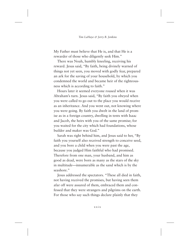My Father must believe that He is, and that He is a rewarder of those who diligently seek Him."

There was Noah, humbly kneeling, receiving his reward. Jesus said, "By faith, being divinely warned of things not yet seen, you moved with godly fear, prepared an ark for the saving of your household, by which you condemned the world and became heir of the righteousness which is according to faith."

Hours later it seemed everyone roused when it was Abraham's turn. Jesus said, "By faith you obeyed when you were called to go out to the place you would receive as an inheritance. And you went out, not knowing where you were going. By faith you dwelt in the land of promise as in a foreign country, dwelling in tents with Isaac and Jacob, the heirs with you of the same promise; for you waited for the city which had foundations, whose builder and maker was God."

Sarah was right behind him, and Jesus said to her, "By faith you yourself also received strength to conceive seed, and you bore a child when you were past the age, because you judged Him faithful who had promised. Therefore from one man, your husband, and him as good as dead, were born as many as the stars of the sky in multitude—innumerable as the sand which is by the seashore."

Jesus addressed the spectators. "These all died in faith, not having received the promises, but having seen them afar off were assured of them, embraced them and confessed that they were strangers and pilgrims on the earth. For those who say such things declare plainly that they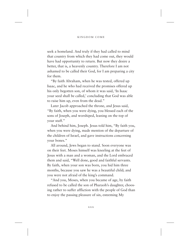seek a homeland. And truly if they had called to mind that country from which they had come out, they would have had opportunity to return. But now they desire a better, that is, a heavenly country. Therefore I am not ashamed to be called their God, for I am preparing a city for them.

"By faith Abraham, when he was tested, offered up Isaac, and he who had received the promises offered up his only begotten son, of whom it was said, 'In Isaac your seed shall be called,' concluding that God was able to raise him up, even from the dead."

Later Jacob approached the throne, and Jesus said, "By faith, when you were dying, you blessed each of the sons of Joseph, and worshiped, leaning on the top of your staff."

And behind him, Joseph. Jesus told him, "By faith you, when you were dying, made mention of the departure of the children of Israel, and gave instructions concerning your bones."

All around, Jews began to stand. Soon everyone was on their feet. Moses himself was kneeling at the feet of Jesus with a man and a woman, and the Lord embraced them and said, "Well done, good and faithful servants. By faith, when your son was born, you hid him three months, because you saw he was a beautiful child; and you were not afraid of the king's command.

"And you, Moses, when you became of age, by faith refused to be called the son of Pharaoh's daughter, choosing rather to suffer affliction with the people of God than to enjoy the passing pleasure of sin, esteeming My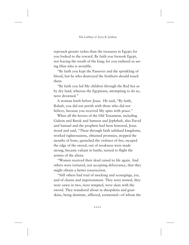reproach greater riches than the treasures in Egypt; for you looked to the reward. By faith you forsook Egypt, not fearing the wrath of the king; for you endured as seeing Him who is invisible.

"By faith you kept the Passover and the sprinkling of blood, lest he who destroyed the firstborn should touch them.

"By faith you led My children through the Red Sea as by dry land, whereas the Egyptians, attempting to do so, were drowned."

A woman knelt before Jesus. He said, "By faith, Rahab, you did not perish with those who did not believe, because you received My spies with peace."

When all the heroes of the Old Testament, including Gideon and Barak and Samson and Jephthah, also David and Samuel and the prophets had been honored, Jesus stood and said, "These through faith subdued kingdoms, worked righteousness, obtained promises, stopped the mouths of lions, quenched the violence of fire, escaped the edge of the sword, out of weakness were made strong, became valiant in battle, turned to flight the armies of the aliens.

"Women received their dead raised to life again. And others were tortured, not accepting deliverance, that they might obtain a better resurrection.

"Still others had trial of mocking and scourgings, yes, and of chains and imprisonment. They were stoned, they were sawn in two, were tempted, were slain with the sword. They wandered about in sheepskins and goatskins, being destitute, afflicted, tormented—of whom the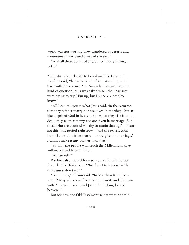world was not worthy. They wandered in deserts and mountains, in dens and caves of the earth.

"And all these obtained a good testimony through faith."

"It might be a little late to be asking this, Chaim," Rayford said, "but what kind of a relationship will I have with Irene now? And Amanda. I know that's the kind of question Jesus was asked when the Pharisees were trying to trip Him up, but I sincerely need to know."

"All I can tell you is what Jesus said. 'In the resurrection they neither marry nor are given in marriage, but are like angels of God in heaven. For when they rise from the dead, they neither marry nor are given in marriage. But those who are counted worthy to attain that age'—meaning this time period right now—'and the resurrection from the dead, neither marry nor are given in marriage.' I cannot make it any plainer than that."

"So only the people who reach the Millennium alive will marry and have children."

"Apparently."

Rayford also looked forward to meeting his heroes from the Old Testament. "We *do* get to interact with those guys, don't we?"

"Absolutely," Chaim said. "In Matthew 8:11 Jesus says, 'Many will come from east and west, and sit down with Abraham, Isaac, and Jacob in the kingdom of heaven.'"

But for now the Old Testament saints were not min-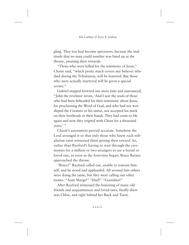gling. They too had become spectators, because the multitude that no man could number was lined up at the throne, awaiting their rewards.

"Those who were killed for the testimony of Jesus," Chaim said, "which pretty much covers any believer who died during the Tribulation, will be honored. But those who were actually martyred will be given a special crown."

Gabriel stepped forward one more time and announced, "John the revelator wrote, 'And I saw the souls of those who had been beheaded for their testimony about Jesus, for proclaiming the Word of God, and who had not worshiped the Creature or his statue, nor accepted his mark on their foreheads or their hands. They had come to life again and now they reigned with Christ for a thousand vears.'"

Chaim's assessment proved accurate. Somehow the Lord arranged it so that only those who knew each tribulation saint witnessed them getting their reward. So, rather than Rayford's having to wait through the ceremonies for a million or two strangers to see a friend or loved one, as soon as the festivities began, Bruce Barnes approached the throne.

"Bruce!" Rayford called out, unable to restrain himself, and he stood and applauded. All around him others were doing the same, but they were calling out other names. "Aunt Marge!" "Dad!" "Grandma!"

After Rayford witnessed the honoring of many old friends and acquaintances and loved ones, finally there was Chloe, and right behind her Buck and Tsion.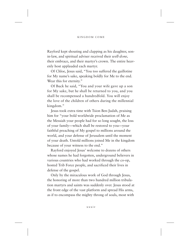Rayford kept shouting and clapping as his daughter, sonin-law, and spiritual adviser received their *well-done,* their embrace, and their martyr's crown. The entire heavenly host applauded each martyr.

Of Chloe, Jesus said, "You too suffered the guillotine for My name's sake, speaking boldly for Me to the end. Wear this for eternity."

Of Buck he said, "You and your wife gave up a son for My sake, but he shall be returned to you, and you shall be recompensed a hundredfold. You will enjoy the love of the children of others during the millennial kingdom."

Jesus took extra time with Tsion Ben-Judah, praising him for "your bold worldwide proclamation of Me as the Messiah your people had for so long sought, the loss of your family—which shall be restored to you—your faithful preaching of My gospel to millions around the world, and your defense of Jerusalem until the moment of your death. Untold millions joined Me in the kingdom because of your witness to the end."

Rayford enjoyed Jesus' welcome to dozens of others whose names he had forgotten, underground believers in various countries who had worked through the co-op, hosted Trib Force people, and sacrificed their lives in defense of the gospel.

Only by the miraculous work of God through Jesus, the honoring of more than two hundred million tribulation martyrs and saints was suddenly over. Jesus stood at the front edge of the vast platform and spread His arms, as if to encompass the mighty throng of souls, most with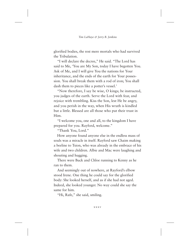glorified bodies, the rest mere mortals who had survived the Tribulation.

"I will declare the decree," He said. "The Lord has said to Me, 'You are My Son, today I have begotten You. Ask of Me, and I will give You the nations for Your inheritance, and the ends of the earth for Your possession. You shall break them with a rod of iron; You shall dash them to pieces like a potter's vessel.'

"Now therefore, I say be wise, O kings; be instructed, you judges of the earth. Serve the Lord with fear, and rejoice with trembling. Kiss the Son, lest He be angry, and you perish in the way, when His wrath is kindled but a little. Blessed are all those who put their trust in Him.

"I welcome you, one and all, to the kingdom I have prepared for you. Rayford, welcome."

"Thank You, Lord."

How anyone found anyone else in the endless mass of souls was a miracle in itself. Rayford saw Chaim making a beeline to Tsion, who was already in the embrace of his wife and two children. Albie and Mac were laughing and shouting and hugging.

There were Buck and Chloe running to Kenny as he ran to them.

And seemingly out of nowhere, at Rayford's elbow stood Irene. One thing he could say for the glorified body: She looked herself, and as if she had not aged. Indeed, she looked younger. No way could she say the same for him.

"Hi, Rafe," she said, smiling.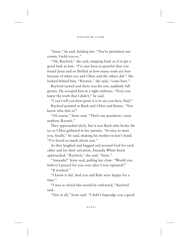"Irene," he said, holding her. "You're permitted one cosmic I-told-you-so."

"Oh, Rayford," she said, stepping back as if to get a good look at him. "I've just been so grateful that you found Jesus and so thrilled at how many souls are here because of what you and Chloe and the others did." She looked behind him. "Raymie," she said, "come here."

Rayford turned and there was his son, suddenly full grown. He scooped him in a tight embrace. "Even you knew the truth that I didn't," he said.

"I can't tell you how great it is to see you here, Dad."

Rayford pointed to Buck and Chloe and Kenny. "You know who that is?"

"Of course," Irene said. "That's my grandson—your nephew, Raymie."

They approached shyly, but it was Buck who broke the ice as Chloe gathered in her parents. "So nice to meet you, finally," he said, shaking his mother-in-law's hand. "I've heard so much about you."

As they laughed and hugged and praised God for each other and for their salvation, Amanda White Steele approached. "Rayford," she said. "Irene."

"Amanda!" Irene said, pulling her close. "Would you believe I prayed for you even after I was raptured?"

"It worked."

"I know it did. And you and Rafe were happy for a time."

"I was so afraid this would be awkward," Rayford said.

"Not at all," Irene said. "I didn't begrudge you a good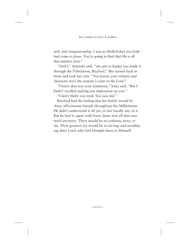wife and companionship. I was so thrilled that you both had come to Jesus. You're going to find that He is all that matters now."

"And I," Amanda said, "am just so happy you made it through the Tribulation, Rayford." She turned back to Irene and took her arm. "You know, your witness and character were the reasons I came to the Lord."

"I knew that was your testimony," Irene said. "But I hadn't recalled making any impression on you."

"I don't think you tried. You just did."

Rayford had the feeling that his family would be close, affectionate friends throughout the Millennium. He didn't understand it all yet, in fact hardly any of it. But he had to agree with Irene: Jesus was all that mattered anymore. There would be no jealousy, envy, or sin. Their greatest joy would be in serving and worshiping their Lord, who had brought them to Himself.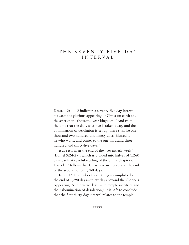### THE SEVENTY-FIVE-DAY INTERVAL

DANIEL 12:11-12 indicates a seventy-five-day interval between the glorious appearing of Christ on earth and the start of the thousand-year kingdom: "And from the time that the daily sacrifice is taken away, and the abomination of desolation is set up, there shall be one thousand two hundred and ninety days. Blessed is he who waits, and comes to the one thousand three hundred and thirty-five days."

Jesus returns at the end of the "seventieth week" (Daniel 9:24-27), which is divided into halves of 1,260 days each. A careful reading of the entire chapter of Daniel 12 tells us that Christ's return occurs at the end of the second set of 1,260 days.

Daniel 12:11 speaks of something accomplished at the end of 1,290 days—thirty days beyond the Glorious Appearing. As the verse deals with temple sacrifices and the "abomination of desolation," it is safe to conclude that the first thirty-day interval relates to the temple.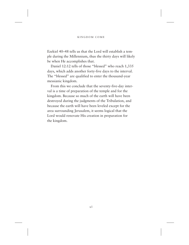Ezekiel 40–48 tells us that the Lord will establish a temple during the Millennium, thus the thirty days will likely be when He accomplishes that.

Daniel 12:12 tells of those "blessed" who reach 1,335 days, which adds another forty-five days to the interval. The "blessed" are qualified to enter the thousand-year messianic kingdom.

From this we conclude that the seventy-five-day interval is a time of preparation of the temple and for the kingdom. Because so much of the earth will have been destroyed during the judgments of the Tribulation, and because the earth will have been leveled except for the area surrounding Jerusalem, it seems logical that the Lord would renovate His creation in preparation for the kingdom.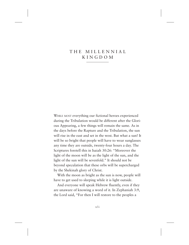#### THE MILLENNIAL KINGDOM

WHILE MOST everything our fictional heroes experienced during the Tribulation would be different after the Glorious Appearing, a few things will remain the same. As in the days before the Rapture and the Tribulation, the sun will rise in the east and set in the west. But what a sun! It will be so bright that people will have to wear sunglasses any time they are outside, twenty-four hours a day. The Scriptures foretell this in Isaiah 30:26: "Moreover the light of the moon will be as the light of the sun, and the light of the sun will be sevenfold." It should not be beyond speculation that these orbs will be supercharged by the Shekinah glory of Christ.

With the moon as bright as the sun is now, people will have to get used to sleeping while it is light outside.

And everyone will speak Hebrew fluently, even if they are unaware of knowing a word of it. In Zephaniah 3:9, the Lord said, "For then I will restore to the peoples a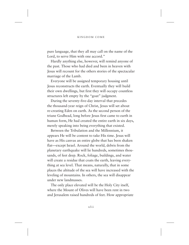pure language, that they all may call on the name of the Lord, to serve Him with one accord."

Hardly anything else, however, will remind anyone of the past. Those who had died and been in heaven with Jesus will recount for the others stories of the spectacular marriage of the Lamb.

Everyone will be assigned temporary housing until Jesus reconstructs the earth. Eventually they will build their own dwellings, but first they will occupy countless structures left empty by the "goat" judgment.

During the seventy-five-day interval that precedes the thousand-year reign of Christ, Jesus will set about re-creating Eden on earth. As the second person of the triune Godhead, long before Jesus first came to earth in human form, He had created the entire earth in six days, merely speaking into being everything that existed.

Between the Tribulation and the Millennium, it appears He will be content to take His time. Jesus will have as His canvas an entire globe that has been shaken flat—except Israel. Around the world, debris from the planetary earthquake will lie hundreds, sometimes thousands, of feet deep. Rock, foliage, buildings, and water will create a residue that coats the earth, leaving everything at sea level. That means, naturally, that in some places the altitude of the sea will have increased with the leveling of mountains. In others, the sea will disappear under new landmasses.

The only place elevated will be the Holy City itself, where the Mount of Olives will have been rent in two and Jerusalem raised hundreds of feet. How appropriate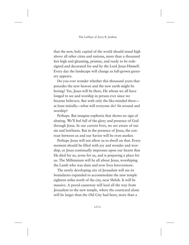that the new, holy capital of the world should stand high above all other cities and nations, more than a thousand feet high and gleaming, pristine, and ready to be redesigned and decorated for and by the Lord Jesus Himself. Every day the landscape will change as full-grown greenery appears.

Do you ever wonder whether this thousand years that precedes the new heaven and the new earth might be boring? Yes, Jesus will be there, He whom we all have longed to see and worship in person ever since we became believers. But with only the like-minded there at least initially—what will everyone do? Sit around and worship?

Perhaps. But imagine euphoria that shows no sign of abating. We'll feel full of the glory and presence of God through Jesus. In our current lives, we are aware of our sin and lowliness. But in the presence of Jesus, the contrast between us and our Savior will be even starker.

Perhaps Jesus will not allow us to dwell on that. Every moment should be filled with joy and wonder and worship, as Jesus continually impresses upon our hearts that He died for us, arose for us, and is preparing a place for us. The Millennium will be all about Jesus, worshiping the Lamb who was slain and now lives forevermore.

The newly developing city of Jerusalem will see its boundaries expanded to accommodate the new temple eighteen miles north of the city, near Shiloh. It will be massive. A paved causeway will lead all the way from Jerusalem to the new temple, where the courtyard alone will be larger than the Old City had been, more than a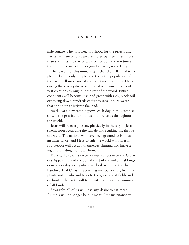mile square. The holy neighborhood for the priests and Levites will encompass an area forty by fifty miles, more than six times the size of greater London and ten times the circumference of the original ancient, walled city.

The reason for this immensity is that the millennial temple will be the only temple, and the entire population of the earth will make use of it at one time or another. Daily during the seventy-five-day interval will come reports of vast creations throughout the rest of the world. Entire continents will become lush and green with rich, black soil extending down hundreds of feet to seas of pure water that spring up to irrigate the land.

As the vast new temple grows each day in the distance, so will the pristine farmlands and orchards throughout the world.

Jesus will be ever present, physically in the city of Jerusalem, soon occupying the temple and retaking the throne of David. The nations will have been granted to Him as an inheritance, and He is to rule the world with an iron rod. People will occupy themselves planting and harvesting and building their own homes.

During the seventy-five-day interval between the Glorious Appearing and the actual start of the millennial kingdom, every day, everywhere we look will bear the divine handiwork of Christ. Everything will be perfect, from the plants and shrubs and trees to the grasses and fields and orchards. The earth will teem with produce and animals of all kinds.

Strangely, all of us will lose any desire to eat meat. Animals will no longer be our meat. Our sustenance will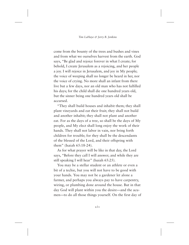come from the bounty of the trees and bushes and vines and from what we ourselves harvest from the earth. God says, "Be glad and rejoice forever in what I create; for behold, I create Jerusalem as a rejoicing, and her people a joy. I will rejoice in Jerusalem, and joy in My people; the voice of weeping shall no longer be heard in her, nor the voice of crying. No more shall an infant from there live but a few days, nor an old man who has not fulfilled his days; for the child shall die one hundred years old, but the sinner being one hundred years old shall be accursed.

"They shall build houses and inhabit them; they shall plant vineyards and eat their fruit; they shall not build and another inhabit; they shall not plant and another eat. For as the days of a tree, so shall be the days of My people, and My elect shall long enjoy the work of their hands. They shall not labor in vain, nor bring forth children for trouble; for they shall be the descendants of the blessed of the Lord, and their offspring with them" (Isaiah 65:18-24).

As for what prayer will be like in that day, the Lord says, "Before they call I will answer; and while they are still speaking I will hear" (Isaiah 65:25).

You may be a stellar student or an athlete or even a bit of a techie, but you will not have to be good with your hands. You may not be a gardener let alone a farmer, and perhaps you always pay to have carpentry, wiring, or plumbing done around the house. But in that day God will plant within you the desire—and the acumen—to do all those things yourself. On the first day of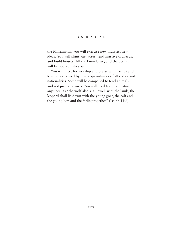the Millennium, you will exercise new muscles, new ideas. You will plant vast acres, tend massive orchards, and build houses. All the knowledge, and the desire, will be poured into you.

You will meet for worship and praise with friends and loved ones, joined by new acquaintances of all colors and nationalities. Some will be compelled to tend animals, and not just tame ones. You will need fear no creature anymore, as "the wolf also shall dwell with the lamb, the leopard shall lie down with the young goat, the calf and the young lion and the fatling together" (Isaiah 11:6).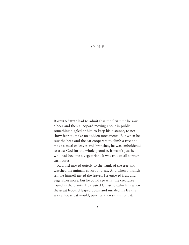#### O N E

RAYFORD STEELE had to admit that the first time he saw a bear and then a leopard moving about in public, something niggled at him to keep his distance, to not show fear, to make no sudden movements. But when he saw the bear and the cat cooperate to climb a tree and make a meal of leaves and branches, he was emboldened to trust God for the whole promise. It wasn't just he who had become a vegetarian. It was true of all former carnivores.

Rayford moved quietly to the trunk of the tree and watched the animals cavort and eat. And when a branch fell, he himself tasted the leaves. He enjoyed fruit and vegetables more, but he could see what the creatures found in the plants. He trusted Christ to calm him when the great leopard leaped down and nuzzled his leg the way a house cat would, purring, then sitting to rest.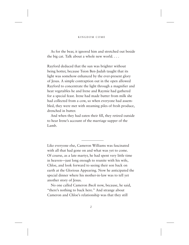As for the bear, it ignored him and stretched out beside the big cat. Talk about a whole new world....

Rayford deduced that the sun was brighter without being hotter, because Tsion Ben-Judah taught that its light was somehow enhanced by the ever-present glory of Jesus. A simple contraption out in the open allowed Rayford to concentrate the light through a magnifier and heat vegetables he and Irene and Raymie had gathered for a special feast. Irene had made butter from milk she had collected from a cow, so when everyone had assembled, they were met with steaming piles of fresh produce, drenched in butter.

And when they had eaten their fill, they retired outside to hear Irene's account of the marriage supper of the Lamb.

Like everyone else, Cameron Williams was fascinated with all that had gone on and what was yet to come. Of course, as a late martyr, he had spent very little time in heaven—just long enough to reunite with his wife, Chloe, and look forward to seeing their son back on earth at the Glorious Appearing. Now he anticipated the special dinner where his mother-in-law was to tell yet another story of Jesus.

No one called Cameron *Buck* now, because, he said, "there's nothing to buck here." And strange about Cameron and Chloe's relationship was that they still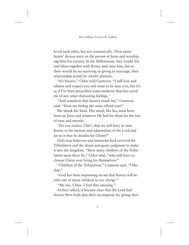loved each other, but not romantically. Their entire hearts' desires were on the person of Jesus and worshiping Him for eternity. In the Millennium, they would live and labor together with Kenny and raise him, but as there would be no marrying or giving in marriage, their relationship would be wholly platonic.

"It's bizarre," Chloe told Cameron. "I still love and admire and respect you and want to be near you, but it's as if I've been prescribed some medicine that has cured me of any other distracting feelings."

"And somehow that doesn't insult me," Cameron said. "Does my feeling the same offend you?"

She shook her head. Her mind, like his, must have been on Jesus and whatever He had for them for the rest of time and eternity.

"Do you realize, Chlo', that we still have to raise Kenny in the nurture and admonition of the Lord and see to it that he decides for Christ?"

Only true believers and innocents had survived the Tribulation and the sheep-and-goats judgment to make it into the kingdom. "How many children of the Tribulation must there be," Chloe said, "who still have to choose Christ over living for themselves?"

"Children of the Tribulation," Cameron said. "I like that."

"God has been impressing on me that Kenny will be only one of many children in our charge."

"Me too, Chloe. I find that amazing."

As they talked, it became clear that the Lord had shown them both that their recompense for giving their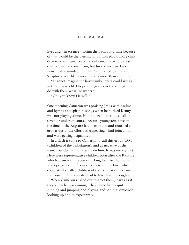lives and—in essence—losing their son for a time because of that would be the blessing of a hundredfold more children to love. Cameron could only imagine where these children would come from, but his old mentor Tsion Ben-Judah reminded him that "a hundredfold" in the Scriptures very likely meant many more than a hundred.

"I cannot imagine the havoc unbelievers could wreak in this new world. I hope God grants us the strength to do with them what He wants."

"Oh, you know He will."

One morning Cameron was praising Jesus with psalms and hymns and spiritual songs when he noticed Kenny was not playing alone. Half a dozen other kids—all seven or under, of course, because youngsters alive at the time of the Rapture had been taken and returned as grown-ups at the Glorious Appearing—had joined him and were getting acquainted.

In a flash it came to Cameron to call this group COT (Children of the Tribulation), and as negative as the name sounded, it didn't grate on him. It was merely fact. Here were representative children born after the Rapture who had survived to enter the kingdom. As the thousand years progressed, of course, kids would be born who could still be called children of the Tribulation, because someone in their ancestry had to have lived through it.

When Cameron rushed out to greet them, it was as if they knew he was coming. They immediately quit running and jumping and playing and sat in a semicircle, looking up at him expectantly.